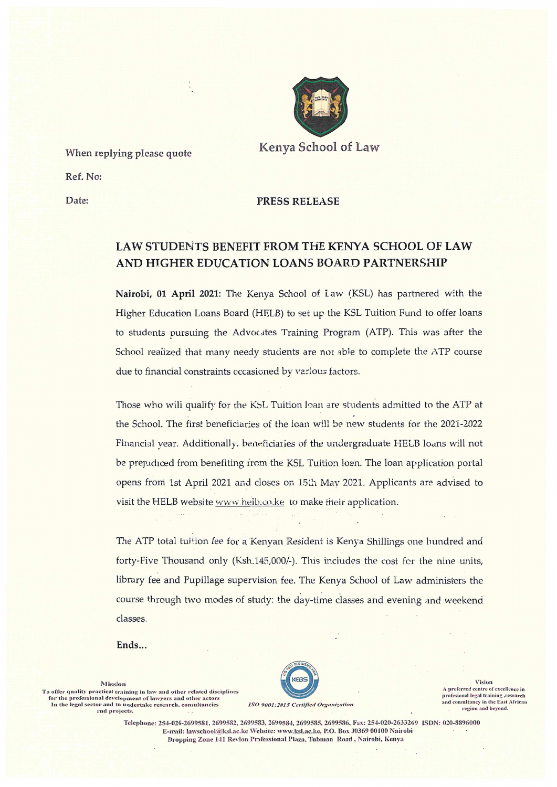

Kenya School of Law

When replying please quote

Ref. No:

Date:

## **PRESS RELEASE**

# LAW STUDENTS BENEFIT FROM THE KENYA SCHOOL OF LAW AND HIGHER EDUCATION LOANS BOARD PARTNERSHIP

Nairobi, 01 April 2021: The Kenya School of Law (KSL) has partnered with the Higher Education Loans Board (HELB) to set up the KSL Tuition Fund to offer loans to students pursuing the Advocates Training Program (ATP). This was after the School realized that many needy students are not able to complete the ATP course due to financial constraints occasioned by various factors.

Those who will qualify for the KSL Tuition loan are students admitted to the ATP at the School. The first beneficiaries of the loan will be new students for the 2021-2022 Financial year. Additionally, beneficiaries of the undergraduate HELB loans will not be prejudiced from benefiting from the KSL Tuition loan. The loan application portal opens from 1st April 2021 and closes on 15th May 2021. Applicants are advised to visit the HELB website www helb.co.ke to make their application.

The ATP total tuition fee for a Kenyan Resident is Kenya Shillings one hundred and forty-Five Thousand only (Ksh.145,000/-). This includes the cost for the nine units, library fee and Pupillage supervision fee. The Kenya School of Law administers the course through two modes of study: the day-time classes and evening and weekend classes.

Ends...

#### **Mission**

To offer quality practical training in law and other related disciplines for the professional development of lawyers and other actors<br>In the legal sector and to undertake research, consultancies and projects



ISO 9001:2015 Certified Organization

**Vision** A preferred centre of excellence in profesional legal training , research and consultancy in the East African region and beyond.

Telephone: 254-020-2699581, 2699582, 2699583, 2699584, 2699585, 2699586, Fax: 254-020-2633269 ISDN: 020-8896000 E-mail: lawschool@ksl.ac.ke Website: www.ksl.ac.ke, P.O. Box 30369 00100 Nairobi Dropping Zone 141 Revlon Professional Plaza, Tubman Road, Nairobi, Kenya